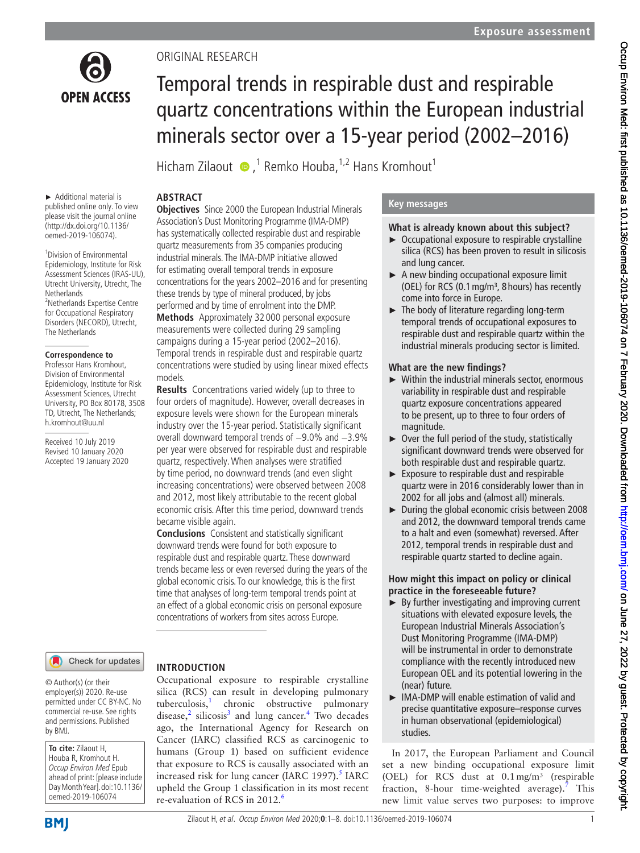

Original research

# Temporal trends in respirable dust and respirable quartz concentrations within the European industrial minerals sector over a 15-year period (2002–2016)

Hicham Zilaout  $\bullet$ ,<sup>1</sup> Remko Houba,<sup>1,2</sup> Hans Kromhout<sup>1</sup>

## **Abstract**

► Additional material is published online only. To view please visit the journal online (http://dx.doi.org/10.1136/ oemed-2019-106074).

1 Division of Environmental Epidemiology, Institute for Risk Assessment Sciences (IRAS-UU), Utrecht University, Utrecht, The Netherlands 2 Netherlands Expertise Centre for Occupational Respiratory Disorders (NECORD), Utrecht, The Netherlands

#### **Correspondence to**

Professor Hans Kromhout, Division of Environmental Epidemiology, Institute for Risk Assessment Sciences, Utrecht University, PO Box 80178, 3508 TD, Utrecht, The Netherlands; h.kromhout@uu.nl

Received 10 July 2019 Revised 10 January 2020 Accepted 19 January 2020 **Objectives** Since 2000 the European Industrial Minerals Association's Dust Monitoring Programme (IMA-DMP) has systematically collected respirable dust and respirable quartz measurements from 35 companies producing industrial minerals. The IMA-DMP initiative allowed for estimating overall temporal trends in exposure concentrations for the years 2002–2016 and for presenting these trends by type of mineral produced, by jobs performed and by time of enrolment into the DMP. **Methods** Approximately 32 000 personal exposure measurements were collected during 29 sampling campaigns during a 15-year period (2002–2016). Temporal trends in respirable dust and respirable quartz concentrations were studied by using linear mixed effects models. **Results** Concentrations varied widely (up to three to

four orders of magnitude). However, overall decreases in exposure levels were shown for the European minerals industry over the 15-year period. Statistically significant overall downward temporal trends of −9.0% and −3.9% per year were observed for respirable dust and respirable quartz, respectively. When analyses were stratified by time period, no downward trends (and even slight increasing concentrations) were observed between 2008 and 2012, most likely attributable to the recent global economic crisis. After this time period, downward trends became visible again.

**Conclusions** Consistent and statistically significant downward trends were found for both exposure to respirable dust and respirable quartz. These downward trends became less or even reversed during the years of the global economic crisis. To our knowledge, this is the first time that analyses of long-term temporal trends point at an effect of a global economic crisis on personal exposure concentrations of workers from sites across Europe.

Occupational exposure to respirable crystalline silica (RCS) can result in developing pulmonary tuberculosis,<sup>1</sup> chronic obstructive pulmonary disease, $\frac{2}{3}$  $\frac{2}{3}$  $\frac{2}{3}$  silicosis<sup>3</sup> and lung cancer.<sup>[4](#page-6-3)</sup> Two decades ago, the International Agency for Research on Cancer (IARC) classified RCS as carcinogenic to humans (Group 1) based on sufficient evidence that exposure to RCS is causally associated with an

#### Check for updates

## **Introduction**

© Author(s) (or their employer(s)) 2020. Re-use permitted under CC BY-NC. No commercial re-use. See rights and permissions. Published by BMJ.

**To cite:** Zilaout H, Houba R, Kromhout H. Occup Environ Med Epub ahead of print: [please include Day Month Year]. doi:10.1136/ oemed-2019-106074

## **BMI**

increased risk for lung cancer (IARC 1997).<sup>5</sup> IARC upheld the Group 1 classification in its most recent re-evaluation of RCS in 2012.<sup>[6](#page-6-5)</sup>

#### **Key messages**

**What is already known about this subject?**

- ► Occupational exposure to respirable crystalline silica (RCS) has been proven to result in silicosis and lung cancer.
- ► A new binding occupational exposure limit (OEL) for RCS (0.1 mg/m<sup>3</sup>, 8 hours) has recently come into force in Europe.
- ► The body of literature regarding long-term temporal trends of occupational exposures to respirable dust and respirable quartz within the industrial minerals producing sector is limited.

## **What are the new findings?**

- $\triangleright$  Within the industrial minerals sector, enormous variability in respirable dust and respirable quartz exposure concentrations appeared to be present, up to three to four orders of magnitude.
- $\triangleright$  Over the full period of the study, statistically significant downward trends were observed for both respirable dust and respirable quartz.
- ► Exposure to respirable dust and respirable quartz were in 2016 considerably lower than in 2002 for all jobs and (almost all) minerals.
- ► During the global economic crisis between 2008 and 2012, the downward temporal trends came to a halt and even (somewhat) reversed. After 2012, temporal trends in respirable dust and respirable quartz started to decline again.

#### **How might this impact on policy or clinical practice in the foreseeable future?**

- $\blacktriangleright$  By further investigating and improving current situations with elevated exposure levels, the European Industrial Minerals Association's Dust Monitoring Programme (IMA-DMP) will be instrumental in order to demonstrate compliance with the recently introduced new European OEL and its potential lowering in the (near) future.
- ► IMA-DMP will enable estimation of valid and precise quantitative exposure–response curves in human observational (epidemiological) studies.

In 2017, the European Parliament and Council set a new binding occupational exposure limit (OEL) for RCS dust at  $0.1 \text{ mg/m}^3$  (respirable fraction, 8-hour time-weighted average).<sup>[7](#page-6-6)</sup> This new limit value serves two purposes: to improve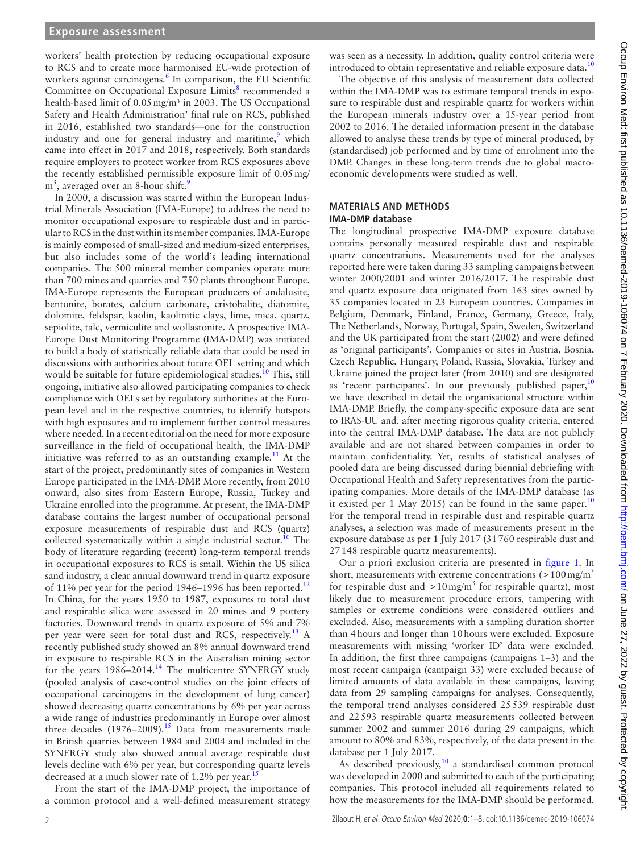workers' health protection by reducing occupational exposure to RCS and to create more harmonised EU-wide protection of workers against carcinogens.<sup>6</sup> In comparison, the EU Scientific Committee on Occupational Exposure Limits<sup>[8](#page-6-7)</sup> recommended a health-based limit of 0.05 mg/m<sup>3</sup> in 2003. The US Occupational Safety and Health Administration' final rule on RCS, published in 2016, established two standards—one for the construction industry and one for general industry and maritime,<sup>9</sup> which came into effect in 2017 and 2018, respectively. Both standards require employers to protect worker from RCS exposures above the recently established permissible exposure limit of 0.05mg/ m<sup>3</sup>, averaged over an 8-hour shift.<sup>[9](#page-6-8)</sup>

In 2000, a discussion was started within the European Industrial Minerals Association (IMA-Europe) to address the need to monitor occupational exposure to respirable dust and in particular to RCS in the dust within its member companies. IMA-Europe is mainly composed of small-sized and medium-sized enterprises, but also includes some of the world's leading international companies. The 500 mineral member companies operate more than 700 mines and quarries and 750 plants throughout Europe. IMA-Europe represents the European producers of andalusite, bentonite, borates, calcium carbonate, cristobalite, diatomite, dolomite, feldspar, kaolin, kaolinitic clays, lime, mica, quartz, sepiolite, talc, vermiculite and wollastonite. A prospective IMA-Europe Dust Monitoring Programme (IMA-DMP) was initiated to build a body of statistically reliable data that could be used in discussions with authorities about future OEL setting and which would be suitable for future epidemiological studies.<sup>10</sup> This, still ongoing, initiative also allowed participating companies to check compliance with OELs set by regulatory authorities at the European level and in the respective countries, to identify hotspots with high exposures and to implement further control measures where needed. In a recent editorial on the need for more exposure surveillance in the field of occupational health, the IMA-DMP initiative was referred to as an outstanding example.<sup>11</sup> At the start of the project, predominantly sites of companies in Western Europe participated in the IMA-DMP. More recently, from 2010 onward, also sites from Eastern Europe, Russia, Turkey and Ukraine enrolled into the programme. At present, the IMA-DMP database contains the largest number of occupational personal exposure measurements of respirable dust and RCS (quartz) collected systematically within a single industrial sector.<sup>10</sup> The body of literature regarding (recent) long-term temporal trends in occupational exposures to RCS is small. Within the US silica sand industry, a clear annual downward trend in quartz exposure of 11% per year for the period 1946–1996 has been reported.<sup>[12](#page-6-11)</sup> In China, for the years 1950 to 1987, exposures to total dust and respirable silica were assessed in 20 mines and 9 pottery factories. Downward trends in quartz exposure of 5% and 7% per year were seen for total dust and RCS, respectively.<sup>[13](#page-6-12)</sup> A recently published study showed an 8% annual downward trend in exposure to respirable RCS in the Australian mining sector for the years 1986–2014.[14](#page-6-13) The multicentre SYNERGY study (pooled analysis of case-control studies on the joint effects of occupational carcinogens in the development of lung cancer) showed decreasing quartz concentrations by 6% per year across a wide range of industries predominantly in Europe over almost three decades  $(1976-2009).$ <sup>15</sup> Data from measurements made in British quarries between 1984 and 2004 and included in the SYNERGY study also showed annual average respirable dust levels decline with 6% per year, but corresponding quartz levels decreased at a much slower rate of  $1.2\%$  per year.<sup>1</sup>

From the start of the IMA-DMP project, the importance of a common protocol and a well-defined measurement strategy

was seen as a necessity. In addition, quality control criteria were introduced to obtain representative and reliable exposure data.<sup>[10](#page-6-9)</sup>

The objective of this analysis of measurement data collected within the IMA-DMP was to estimate temporal trends in exposure to respirable dust and respirable quartz for workers within the European minerals industry over a 15-year period from 2002 to 2016. The detailed information present in the database allowed to analyse these trends by type of mineral produced, by (standardised) job performed and by time of enrolment into the DMP. Changes in these long-term trends due to global macroeconomic developments were studied as well.

# **Materials and methods**

## **IMA-DMP database**

The longitudinal prospective IMA-DMP exposure database contains personally measured respirable dust and respirable quartz concentrations. Measurements used for the analyses reported here were taken during 33 sampling campaigns between winter 2000/2001 and winter 2016/2017. The respirable dust and quartz exposure data originated from 163 sites owned by 35 companies located in 23 European countries. Companies in Belgium, Denmark, Finland, France, Germany, Greece, Italy, The Netherlands, Norway, Portugal, Spain, Sweden, Switzerland and the UK participated from the start (2002) and were defined as 'original participants'. Companies or sites in Austria, Bosnia, Czech Republic, Hungary, Poland, Russia, Slovakia, Turkey and Ukraine joined the project later (from 2010) and are designated as 'recent participants'. In our previously published paper,<sup>[10](#page-6-9)</sup> we have described in detail the organisational structure within IMA-DMP. Briefly, the company-specific exposure data are sent to IRAS-UU and, after meeting rigorous quality criteria, entered into the central IMA-DMP database. The data are not publicly available and are not shared between companies in order to maintain confidentiality. Yet, results of statistical analyses of pooled data are being discussed during biennial debriefing with Occupational Health and Safety representatives from the participating companies. More details of the IMA-DMP database (as it existed per 1 May 2015) can be found in the same paper.<sup>[10](#page-6-9)</sup> For the temporal trend in respirable dust and respirable quartz analyses, a selection was made of measurements present in the exposure database as per 1 July 2017 (31760 respirable dust and 27148 respirable quartz measurements).

Our a priori exclusion criteria are presented in [figure](#page-2-0) 1. In short, measurements with extreme concentrations  $(>100 \text{ mg/m}^3)$ for respirable dust and  $>10$  mg/m<sup>3</sup> for respirable quartz), most likely due to measurement procedure errors, tampering with samples or extreme conditions were considered outliers and excluded. Also, measurements with a sampling duration shorter than 4hours and longer than 10hours were excluded. Exposure measurements with missing 'worker ID' data were excluded. In addition, the first three campaigns (campaigns 1–3) and the most recent campaign (campaign 33) were excluded because of limited amounts of data available in these campaigns, leaving data from 29 sampling campaigns for analyses. Consequently, the temporal trend analyses considered 25539 respirable dust and 22593 respirable quartz measurements collected between summer 2002 and summer 2016 during 29 campaigns, which amount to 80% and 83%, respectively, of the data present in the database per 1 July 2017.

As described previously,<sup>10</sup> a standardised common protocol was developed in 2000 and submitted to each of the participating companies. This protocol included all requirements related to how the measurements for the IMA-DMP should be performed.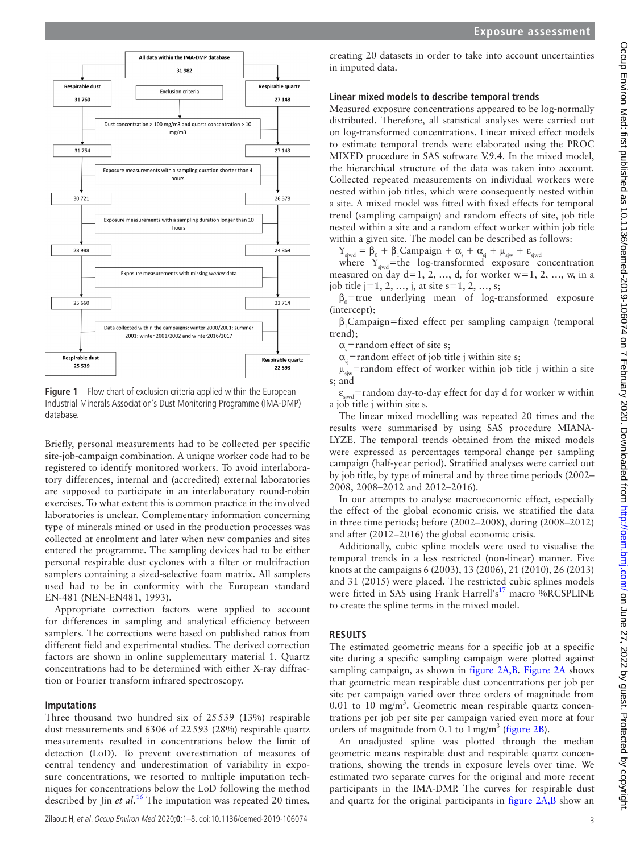



<span id="page-2-0"></span>**Figure 1** Flow chart of exclusion criteria applied within the European Industrial Minerals Association's Dust Monitoring Programme (IMA-DMP) database.

Briefly, personal measurements had to be collected per specific site-job-campaign combination. A unique worker code had to be registered to identify monitored workers. To avoid interlaboratory differences, internal and (accredited) external laboratories are supposed to participate in an interlaboratory round-robin exercises. To what extent this is common practice in the involved laboratories is unclear. Complementary information concerning type of minerals mined or used in the production processes was collected at enrolment and later when new companies and sites entered the programme. The sampling devices had to be either personal respirable dust cyclones with a filter or multifraction samplers containing a sized-selective foam matrix. All samplers used had to be in conformity with the European standard EN-481 (NEN-EN481, 1993).

Appropriate correction factors were applied to account for differences in sampling and analytical efficiency between samplers. The corrections were based on published ratios from different field and experimental studies. The derived correction factors are shown in [online supplementary material 1.](https://dx.doi.org/10.1136/oemed-2019-106074) Quartz concentrations had to be determined with either X-ray diffraction or Fourier transform infrared spectroscopy.

#### **Imputations**

Three thousand two hundred six of 25539 (13%) respirable dust measurements and 6306 of 22593 (28%) respirable quartz measurements resulted in concentrations below the limit of detection (LoD). To prevent overestimation of measures of central tendency and underestimation of variability in exposure concentrations, we resorted to multiple imputation techniques for concentrations below the LoD following the method described by Jin *et al*. [16](#page-7-0) The imputation was repeated 20 times, creating 20 datasets in order to take into account uncertainties in imputed data.

#### **Linear mixed models to describe temporal trends**

Measured exposure concentrations appeared to be log-normally distributed. Therefore, all statistical analyses were carried out on log-transformed concentrations. Linear mixed effect models to estimate temporal trends were elaborated using the PROC MIXED procedure in SAS software V.9.4. In the mixed model, the hierarchical structure of the data was taken into account. Collected repeated measurements on individual workers were nested within job titles, which were consequently nested within a site. A mixed model was fitted with fixed effects for temporal trend (sampling campaign) and random effects of site, job title nested within a site and a random effect worker within job title within a given site. The model can be described as follows:

 $Y_{\text{siwd}} = \beta_0 + \beta_1 \text{Campalign} + \alpha_s + \alpha_{\text{si}} + \mu_{\text{siw}} + \varepsilon_{\text{siwd}}$ 

where  $Y_{swd}$ =the log-transformed exposure concentration measured on day d*=*1, 2, …, d*,* for worker w=1, 2, …, w, in a job title  $j=1, 2, ..., j$ , at site  $s=1, 2, ..., s$ ;

 $\beta_0$ =true underlying mean of log-transformed exposure (intercept);

β1 Campaign=fixed effect per sampling campaign (temporal trend);

 $\alpha$ <sub>s</sub>=random effect of site s;

 $\alpha$ <sub>s</sub>=random effect of job title j within site s;

 $\mu_{\text{sky}}$ =random effect of worker within job title j within a site s; and

 $\varepsilon$ <sub>siwd</sub>=random day-to-day effect for day d for worker w within a job title j within site s.

The linear mixed modelling was repeated 20 times and the results were summarised by using SAS procedure MIANA-LYZE. The temporal trends obtained from the mixed models were expressed as percentages temporal change per sampling campaign (half-year period). Stratified analyses were carried out by job title, by type of mineral and by three time periods (2002– 2008, 2008–2012 and 2012–2016).

In our attempts to analyse macroeconomic effect, especially the effect of the global economic crisis, we stratified the data in three time periods; before (2002–2008), during (2008–2012) and after (2012–2016) the global economic crisis.

Additionally, cubic spline models were used to visualise the temporal trends in a less restricted (non-linear) manner. Five knots at the campaigns 6 (2003), 13 (2006), 21 (2010), 26 (2013) and 31 (2015) were placed. The restricted cubic splines models were fitted in SAS using Frank Harrell's<sup>17</sup> macro %RCSPLINE to create the spline terms in the mixed model.

#### **Results**

The estimated geometric means for a specific job at a specific site during a specific sampling campaign were plotted against sampling campaign, as shown in [figure](#page-3-0) 2A,B. [Figure](#page-3-0) 2A shows that geometric mean respirable dust concentrations per job per site per campaign varied over three orders of magnitude from  $0.01$  to 10 mg/m<sup>3</sup>. Geometric mean respirable quartz concentrations per job per site per campaign varied even more at four orders of magnitude from 0.1 to  $1 \text{ mg/m}^3$  [\(figure](#page-3-0) 2B).

An unadjusted spline was plotted through the median geometric means respirable dust and respirable quartz concentrations, showing the trends in exposure levels over time. We estimated two separate curves for the original and more recent participants in the IMA-DMP. The curves for respirable dust and quartz for the original participants in [figure](#page-3-0) 2A,B show an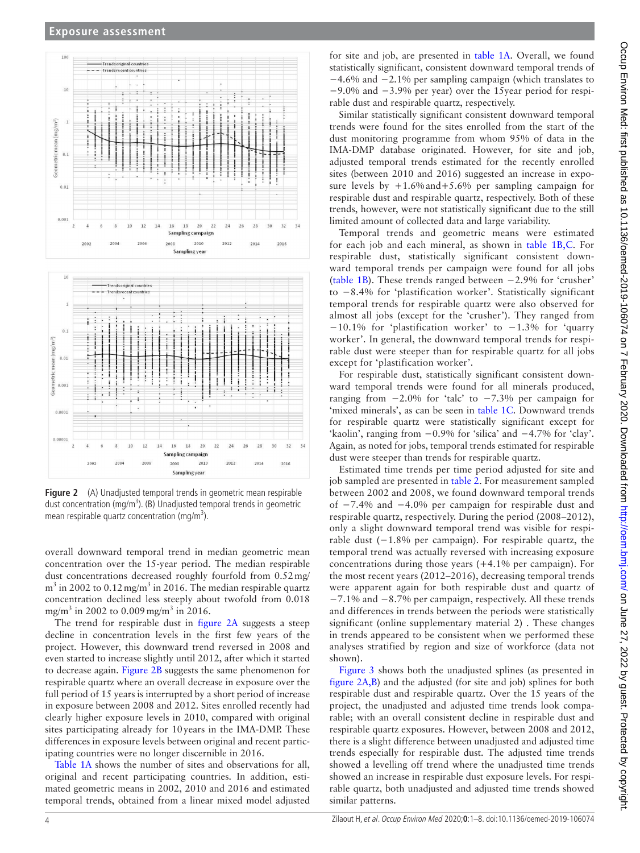



<span id="page-3-0"></span>**Figure 2** (A) Unadjusted temporal trends in geometric mean respirable dust concentration (mg/m<sup>3</sup>). (B) Unadjusted temporal trends in geometric mean respirable quartz concentration (mg/m<sup>3</sup>).

overall downward temporal trend in median geometric mean concentration over the 15-year period. The median respirable dust concentrations decreased roughly fourfold from 0.52mg/  $m<sup>3</sup>$  in 2002 to 0.12 mg/m<sup>3</sup> in 2016. The median respirable quartz concentration declined less steeply about twofold from 0.018 mg/m<sup>3</sup> in 2002 to 0.009 mg/m<sup>3</sup> in 2016.

The trend for respirable dust in [figure](#page-3-0) 2A suggests a steep decline in concentration levels in the first few years of the project. However, this downward trend reversed in 2008 and even started to increase slightly until 2012, after which it started to decrease again. [Figure](#page-3-0) 2B suggests the same phenomenon for respirable quartz where an overall decrease in exposure over the full period of 15 years is interrupted by a short period of increase in exposure between 2008 and 2012. Sites enrolled recently had clearly higher exposure levels in 2010, compared with original sites participating already for 10years in the IMA-DMP. These differences in exposure levels between original and recent participating countries were no longer discernible in 2016.

[Table](#page-4-0) 1A shows the number of sites and observations for all, original and recent participating countries. In addition, estimated geometric means in 2002, 2010 and 2016 and estimated temporal trends, obtained from a linear mixed model adjusted

for site and job, are presented in [table](#page-4-0) 1A. Overall, we found statistically significant, consistent downward temporal trends of −4.6% and −2.1% per sampling campaign (which translates to −9.0% and −3.9% per year) over the 15year period for respirable dust and respirable quartz, respectively.

Similar statistically significant consistent downward temporal trends were found for the sites enrolled from the start of the dust monitoring programme from whom 95% of data in the IMA-DMP database originated. However, for site and job, adjusted temporal trends estimated for the recently enrolled sites (between 2010 and 2016) suggested an increase in exposure levels by  $+1.6\%$  and  $+5.6\%$  per sampling campaign for respirable dust and respirable quartz, respectively. Both of these trends, however, were not statistically significant due to the still limited amount of collected data and large variability.

Temporal trends and geometric means were estimated for each job and each mineral, as shown in table [1B,C](#page-4-0). For respirable dust, statistically significant consistent downward temporal trends per campaign were found for all jobs ([table](#page-4-0) 1B). These trends ranged between −2.9% for 'crusher' to −8.4% for 'plastification worker'. Statistically significant temporal trends for respirable quartz were also observed for almost all jobs (except for the 'crusher'). They ranged from −10.1% for 'plastification worker' to −1.3% for 'quarry worker'. In general, the downward temporal trends for respirable dust were steeper than for respirable quartz for all jobs except for 'plastification worker'.

For respirable dust, statistically significant consistent downward temporal trends were found for all minerals produced, ranging from −2.0% for 'talc' to −7.3% per campaign for 'mixed minerals', as can be seen in [table](#page-4-0) 1C. Downward trends for respirable quartz were statistically significant except for 'kaolin', ranging from −0.9% for 'silica' and −4.7% for 'clay'. Again, as noted for jobs, temporal trends estimated for respirable dust were steeper than trends for respirable quartz.

Estimated time trends per time period adjusted for site and job sampled are presented in [table](#page-4-1) 2. For measurement sampled between 2002 and 2008, we found downward temporal trends of −7.4% and −4.0% per campaign for respirable dust and respirable quartz, respectively. During the period (2008–2012), only a slight downward temporal trend was visible for respirable dust (−1.8% per campaign). For respirable quartz, the temporal trend was actually reversed with increasing exposure concentrations during those years (+4.1% per campaign). For the most recent years (2012–2016), decreasing temporal trends were apparent again for both respirable dust and quartz of −7.1% and −8.7% per campaign, respectively. All these trends and differences in trends between the periods were statistically significant ([online supplementary material 2\)](https://dx.doi.org/10.1136/oemed-2019-106074) . These changes in trends appeared to be consistent when we performed these analyses stratified by region and size of workforce (data not shown).

[Figure](#page-5-0) 3 shows both the unadjusted splines (as presented in [figure](#page-3-0) 2A,B) and the adjusted (for site and job) splines for both respirable dust and respirable quartz. Over the 15 years of the project, the unadjusted and adjusted time trends look comparable; with an overall consistent decline in respirable dust and respirable quartz exposures. However, between 2008 and 2012, there is a slight difference between unadjusted and adjusted time trends especially for respirable dust. The adjusted time trends showed a levelling off trend where the unadjusted time trends showed an increase in respirable dust exposure levels. For respirable quartz, both unadjusted and adjusted time trends showed similar patterns.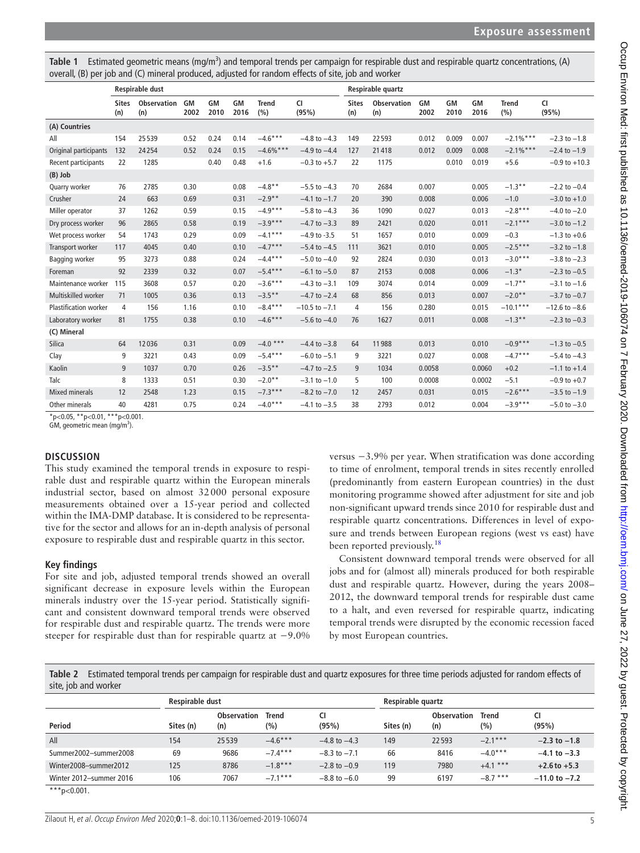<span id="page-4-0"></span>Table 1 Estimated geometric means (mg/m<sup>3</sup>) and temporal trends per campaign for respirable dust and respirable quartz concentrations, (A) overall, (B) per job and (C) mineral produced, adjusted for random effects of site, job and worker

|                       | Respirable dust     |                           |            |                   |            |                     | Respirable quartz  |                     |                           |            |            |            |                     |                    |
|-----------------------|---------------------|---------------------------|------------|-------------------|------------|---------------------|--------------------|---------------------|---------------------------|------------|------------|------------|---------------------|--------------------|
|                       | <b>Sites</b><br>(n) | <b>Observation</b><br>(n) | GM<br>2002 | <b>GM</b><br>2010 | GM<br>2016 | <b>Trend</b><br>(%) | <b>CI</b><br>(95%) | <b>Sites</b><br>(n) | <b>Observation</b><br>(n) | GM<br>2002 | GM<br>2010 | GM<br>2016 | <b>Trend</b><br>(%) | <b>CI</b><br>(95%) |
| (A) Countries         |                     |                           |            |                   |            |                     |                    |                     |                           |            |            |            |                     |                    |
| All                   | 154                 | 25539                     | 0.52       | 0.24              | 0.14       | $-4.6***$           | $-4.8$ to $-4.3$   | 149                 | 22593                     | 0.012      | 0.009      | 0.007      | $-2.1\%$ ***        | $-2.3$ to $-1.8$   |
| Original participants | 132                 | 24254                     | 0.52       | 0.24              | 0.15       | $-4.6\%$ ***        | $-4.9$ to $-4.4$   | 127                 | 21418                     | 0.012      | 0.009      | 0.008      | $-2.1\%***$         | $-2.4$ to $-1.9$   |
| Recent participants   | 22                  | 1285                      |            | 0.40              | 0.48       | $+1.6$              | $-0.3$ to $+5.7$   | 22                  | 1175                      |            | 0.010      | 0.019      | $+5.6$              | $-0.9$ to $+10.3$  |
| $(B)$ Job             |                     |                           |            |                   |            |                     |                    |                     |                           |            |            |            |                     |                    |
| Quarry worker         | 76                  | 2785                      | 0.30       |                   | 0.08       | $-4.8***$           | $-5.5$ to $-4.3$   | 70                  | 2684                      | 0.007      |            | 0.005      | $-1.3***$           | $-2.2$ to $-0.4$   |
| Crusher               | 24                  | 663                       | 0.69       |                   | 0.31       | $-2.9**$            | $-4.1$ to $-1.7$   | 20                  | 390                       | 0.008      |            | 0.006      | $-1.0$              | $-3.0$ to $+1.0$   |
| Miller operator       | 37                  | 1262                      | 0.59       |                   | 0.15       | $-4.9***$           | $-5.8$ to $-4.3$   | 36                  | 1090                      | 0.027      |            | 0.013      | $-2.8***$           | $-4.0$ to $-2.0$   |
| Dry process worker    | 96                  | 2865                      | 0.58       |                   | 0.19       | $-3.9***$           | $-4.7$ to $-3.3$   | 89                  | 2421                      | 0.020      |            | 0.011      | $-2.1***$           | $-3.0$ to $-1.2$   |
| Wet process worker    | 54                  | 1743                      | 0.29       |                   | 0.09       | $-4.1***$           | $-4.9$ to $-3.5$   | 51                  | 1657                      | 0.010      |            | 0.009      | $-0.3$              | $-1.3$ to $+0.6$   |
| Transport worker      | 117                 | 4045                      | 0.40       |                   | 0.10       | $-4.7***$           | $-5.4$ to $-4.5$   | 111                 | 3621                      | 0.010      |            | 0.005      | $-2.5***$           | $-3.2$ to $-1.8$   |
| Bagging worker        | 95                  | 3273                      | 0.88       |                   | 0.24       | $-4.4***$           | $-5.0$ to $-4.0$   | 92                  | 2824                      | 0.030      |            | 0.013      | $-3.0***$           | $-3.8$ to $-2.3$   |
| Foreman               | 92                  | 2339                      | 0.32       |                   | 0.07       | $-5.4***$           | $-6.1$ to $-5.0$   | 87                  | 2153                      | 0.008      |            | 0.006      | $-1.3*$             | $-2.3$ to $-0.5$   |
| Maintenance worker    | 115                 | 3608                      | 0.57       |                   | 0.20       | $-3.6***$           | $-4.3$ to $-3.1$   | 109                 | 3074                      | 0.014      |            | 0.009      | $-1.7**$            | $-3.1$ to $-1.6$   |
| Multiskilled worker   | 71                  | 1005                      | 0.36       |                   | 0.13       | $-3.5***$           | $-4.7$ to $-2.4$   | 68                  | 856                       | 0.013      |            | 0.007      | $-2.0**$            | $-3.7$ to $-0.7$   |
| Plastification worker | 4                   | 156                       | 1.16       |                   | 0.10       | $-8.4***$           | $-10.5$ to $-7.1$  | 4                   | 156                       | 0.280      |            | 0.015      | $-10.1***$          | $-12.6$ to $-8.6$  |
| Laboratory worker     | 81                  | 1755                      | 0.38       |                   | 0.10       | $-4.6***$           | $-5.6$ to $-4.0$   | 76                  | 1627                      | 0.011      |            | 0.008      | $-1.3***$           | $-2.3$ to $-0.3$   |
| (C) Mineral           |                     |                           |            |                   |            |                     |                    |                     |                           |            |            |            |                     |                    |
| Silica                | 64                  | 12036                     | 0.31       |                   | 0.09       | $-4.0$ ***          | $-4.4$ to $-3.8$   | 64                  | 11988                     | 0.013      |            | 0.010      | $-0.9***$           | $-1.3$ to $-0.5$   |
| Clay                  | 9                   | 3221                      | 0.43       |                   | 0.09       | $-5.4***$           | $-6.0$ to $-5.1$   | 9                   | 3221                      | 0.027      |            | 0.008      | $-4.7***$           | $-5.4$ to $-4.3$   |
| Kaolin                | 9                   | 1037                      | 0.70       |                   | 0.26       | $-3.5***$           | $-4.7$ to $-2.5$   | 9                   | 1034                      | 0.0058     |            | 0.0060     | $+0.2$              | $-1.1$ to $+1.4$   |
| Talc                  | 8                   | 1333                      | 0.51       |                   | 0.30       | $-2.0**$            | $-3.1$ to $-1.0$   | 5                   | 100                       | 0.0008     |            | 0.0002     | $-5.1$              | $-0.9$ to $+0.7$   |
| <b>Mixed minerals</b> | 12                  | 2548                      | 1.23       |                   | 0.15       | $-7.3***$           | $-8.2$ to $-7.0$   | 12                  | 2457                      | 0.031      |            | 0.015      | $-2.6***$           | $-3.5$ to $-1.9$   |
| Other minerals        | 40                  | 4281                      | 0.75       |                   | 0.24       | $-4.0***$           | $-4.1$ to $-3.5$   | 38                  | 2793                      | 0.012      |            | 0.004      | $-3.9***$           | $-5.0$ to $-3.0$   |

 $*_{p<0.05}$ ,  $*_{p<0.01}$ ,  $*_{p<0.001}$ .

GM, geometric mean (mg/m<sup>3</sup>).

#### **Discussion**

This study examined the temporal trends in exposure to respirable dust and respirable quartz within the European minerals industrial sector, based on almost 32000 personal exposure measurements obtained over a 15-year period and collected within the IMA-DMP database. It is considered to be representative for the sector and allows for an in-depth analysis of personal exposure to respirable dust and respirable quartz in this sector.

#### **Key findings**

For site and job, adjusted temporal trends showed an overall significant decrease in exposure levels within the European minerals industry over the 15-year period. Statistically significant and consistent downward temporal trends were observed for respirable dust and respirable quartz. The trends were more steeper for respirable dust than for respirable quartz at −9.0% versus −3.9% per year. When stratification was done according to time of enrolment, temporal trends in sites recently enrolled (predominantly from eastern European countries) in the dust monitoring programme showed after adjustment for site and job non-significant upward trends since 2010 for respirable dust and respirable quartz concentrations. Differences in level of exposure and trends between European regions (west vs east) have been reported previously.<sup>18</sup>

Consistent downward temporal trends were observed for all jobs and for (almost all) minerals produced for both respirable dust and respirable quartz. However, during the years 2008– 2012, the downward temporal trends for respirable dust came to a halt, and even reversed for respirable quartz, indicating temporal trends were disrupted by the economic recession faced by most European countries.

<span id="page-4-1"></span>**Table 2** Estimated temporal trends per campaign for respirable dust and quartz exposures for three time periods adjusted for random effects of site, job and worker

|                         | Respirable dust |                           |              |                  | Respirable quartz |                           |              |                    |  |
|-------------------------|-----------------|---------------------------|--------------|------------------|-------------------|---------------------------|--------------|--------------------|--|
| Period                  | Sites (n)       | <b>Observation</b><br>(n) | Trend<br>(%) | CI<br>(95%)      | Sites (n)         | <b>Observation</b><br>(n) | Trend<br>(%) | <b>CI</b><br>(95%) |  |
| All                     | 154             | 25539                     | $-4.6***$    | $-4.8$ to $-4.3$ | 149               | 22593                     | $-2.1***$    | $-2.3$ to $-1.8$   |  |
| Summer2002-summer2008   | 69              | 9686                      | $-7.4***$    | $-8.3$ to $-7.1$ | 66                | 8416                      | $-4.0***$    | $-4.1$ to $-3.3$   |  |
| Winter2008-summer2012   | 125             | 8786                      | $-1.8***$    | $-2.8$ to $-0.9$ | 119               | 7980                      | $+4.1***$    | $+2.6$ to $+5.3$   |  |
| Winter 2012-summer 2016 | 106             | 7067                      | $-7.1***$    | $-8.8$ to $-6.0$ | 99                | 6197                      | $-8.7***$    | $-11.0$ to $-7.2$  |  |
| $***\sim0.001$          |                 |                           |              |                  |                   |                           |              |                    |  |

 $p<0.001$ .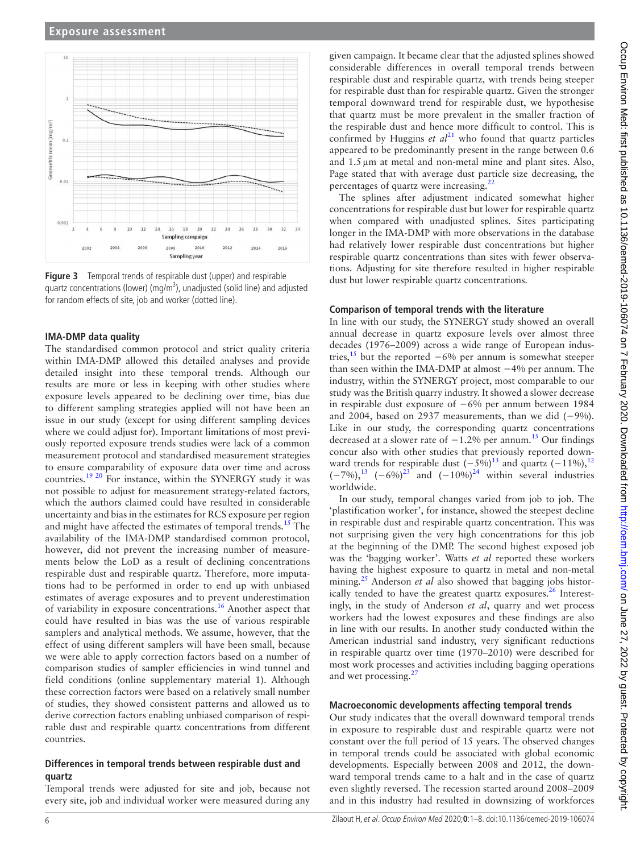

<span id="page-5-0"></span>**Figure 3** Temporal trends of respirable dust (upper) and respirable quartz concentrations (lower) (mg/m<sup>3</sup>), unadjusted (solid line) and adjusted for random effects of site, job and worker (dotted line).

## **IMA-DMP data quality**

The standardised common protocol and strict quality criteria within IMA-DMP allowed this detailed analyses and provide detailed insight into these temporal trends. Although our results are more or less in keeping with other studies where exposure levels appeared to be declining over time, bias due to different sampling strategies applied will not have been an issue in our study (except for using different sampling devices where we could adjust for). Important limitations of most previously reported exposure trends studies were lack of a common measurement protocol and standardised measurement strategies to ensure comparability of exposure data over time and across countries.[19 20](#page-7-3) For instance, within the SYNERGY study it was not possible to adjust for measurement strategy-related factors, which the authors claimed could have resulted in considerable uncertainty and bias in the estimates for RCS exposure per region and might have affected the estimates of temporal trends.<sup>15</sup> The availability of the IMA-DMP standardised common protocol, however, did not prevent the increasing number of measurements below the LoD as a result of declining concentrations respirable dust and respirable quartz. Therefore, more imputations had to be performed in order to end up with unbiased estimates of average exposures and to prevent underestimation of variability in exposure concentrations.<sup>16</sup> Another aspect that could have resulted in bias was the use of various respirable samplers and analytical methods. We assume, however, that the effect of using different samplers will have been small, because we were able to apply correction factors based on a number of comparison studies of sampler efficiencies in wind tunnel and field conditions ([online supplementary material 1\)](https://dx.doi.org/10.1136/oemed-2019-106074). Although these correction factors were based on a relatively small number of studies, they showed consistent patterns and allowed us to derive correction factors enabling unbiased comparison of respirable dust and respirable quartz concentrations from different countries.

#### **Differences in temporal trends between respirable dust and quartz**

Temporal trends were adjusted for site and job, because not every site, job and individual worker were measured during any given campaign. It became clear that the adjusted splines showed considerable differences in overall temporal trends between respirable dust and respirable quartz, with trends being steeper for respirable dust than for respirable quartz. Given the stronger temporal downward trend for respirable dust, we hypothesise that quartz must be more prevalent in the smaller fraction of the respirable dust and hence more difficult to control. This is confirmed by Huggins  $et \t al^{21}$  $et \t al^{21}$  $et \t al^{21}$  who found that quartz particles appeared to be predominantly present in the range between 0.6 and 1.5  $\mu$ m at metal and non-metal mine and plant sites. Also, Page stated that with average dust particle size decreasing, the percentages of quartz were increasing.<sup>[22](#page-7-5)</sup>

The splines after adjustment indicated somewhat higher concentrations for respirable dust but lower for respirable quartz when compared with unadjusted splines. Sites participating longer in the IMA-DMP with more observations in the database had relatively lower respirable dust concentrations but higher respirable quartz concentrations than sites with fewer observations. Adjusting for site therefore resulted in higher respirable dust but lower respirable quartz concentrations.

#### **Comparison of temporal trends with the literature**

In line with our study, the SYNERGY study showed an overall annual decrease in quartz exposure levels over almost three decades (1976–2009) across a wide range of European indus-tries,<sup>[15](#page-6-14)</sup> but the reported  $-6%$  per annum is somewhat steeper than seen within the IMA-DMP at almost −4% per annum. The industry, within the SYNERGY project, most comparable to our study was the British quarry industry. It showed a slower decrease in respirable dust exposure of −6% per annum between 1984 and 2004, based on 2937 measurements, than we did (−9%). Like in our study, the corresponding quartz concentrations decreased at a slower rate of  $-1.2%$  per annum.<sup>[15](#page-6-14)</sup> Our findings concur also with other studies that previously reported downward trends for respirable dust  $(-5\%)^{13}$  $(-5\%)^{13}$  $(-5\%)^{13}$  and quartz  $(-11\%)$ ,<sup>[12](#page-6-11)</sup>  $(-7\%)$ ,<sup>[13](#page-6-12)</sup> (−6%)<sup>[23](#page-7-6)</sup> and (−10%)<sup>24</sup> within several industries worldwide.

In our study, temporal changes varied from job to job. The 'plastification worker', for instance, showed the steepest decline in respirable dust and respirable quartz concentration. This was not surprising given the very high concentrations for this job at the beginning of the DMP. The second highest exposed job was the 'bagging worker'. Watts *et al* reported these workers having the highest exposure to quartz in metal and non-metal mining.<sup>25</sup> Anderson *et al* also showed that bagging jobs historically tended to have the greatest quartz exposures.<sup>26</sup> Interestingly, in the study of Anderson *et al*, quarry and wet process workers had the lowest exposures and these findings are also in line with our results. In another study conducted within the American industrial sand industry, very significant reductions in respirable quartz over time (1970–2010) were described for most work processes and activities including bagging operations and wet processing. $^{2}$ 

#### **Macroeconomic developments affecting temporal trends**

Our study indicates that the overall downward temporal trends in exposure to respirable dust and respirable quartz were not constant over the full period of 15 years. The observed changes in temporal trends could be associated with global economic developments. Especially between 2008 and 2012, the downward temporal trends came to a halt and in the case of quartz even slightly reversed. The recession started around 2008–2009 and in this industry had resulted in downsizing of workforces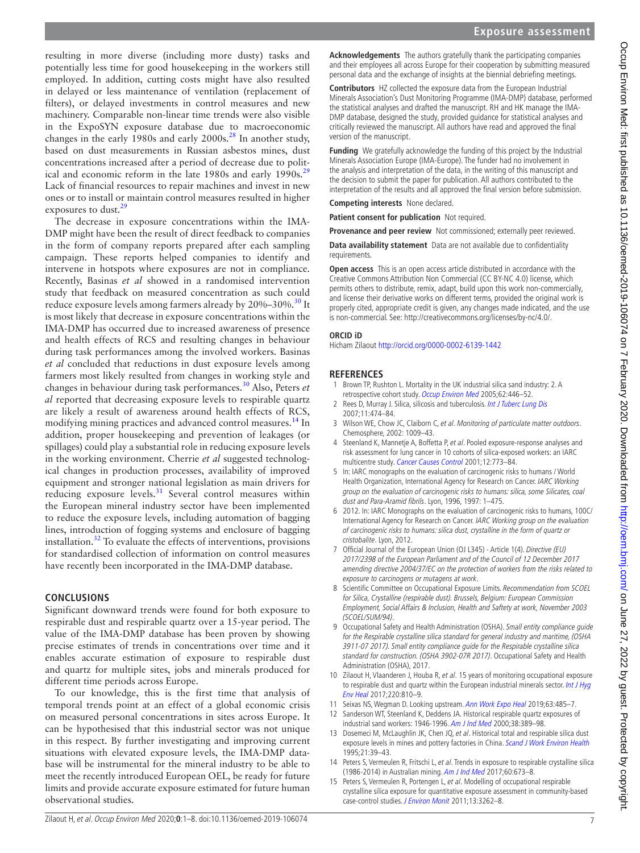resulting in more diverse (including more dusty) tasks and potentially less time for good housekeeping in the workers still employed. In addition, cutting costs might have also resulted in delayed or less maintenance of ventilation (replacement of filters), or delayed investments in control measures and new machinery. Comparable non-linear time trends were also visible in the ExpoSYN exposure database due to macroeconomic changes in the early  $1980s$  and early  $2000s<sup>28</sup>$  In another study, based on dust measurements in Russian asbestos mines, dust concentrations increased after a period of decrease due to polit-ical and economic reform in the late 1980s and early 1990s.<sup>[29](#page-7-12)</sup> Lack of financial resources to repair machines and invest in new ones or to install or maintain control measures resulted in higher exposures to dust.<sup>2</sup>

The decrease in exposure concentrations within the IMA-DMP might have been the result of direct feedback to companies in the form of company reports prepared after each sampling campaign. These reports helped companies to identify and intervene in hotspots where exposures are not in compliance. Recently, Basinas *et al* showed in a randomised intervention study that feedback on measured concentration as such could reduce exposure levels among farmers already by  $20\% - 30\%$ .<sup>30</sup> It is most likely that decrease in exposure concentrations within the IMA-DMP has occurred due to increased awareness of presence and health effects of RCS and resulting changes in behaviour during task performances among the involved workers. Basinas *et al* concluded that reductions in dust exposure levels among farmers most likely resulted from changes in working style and changes in behaviour during task performances.[30](#page-7-13) Also, Peters *et al* reported that decreasing exposure levels to respirable quartz are likely a result of awareness around health effects of RCS, modifying mining practices and advanced control measures.<sup>[14](#page-6-13)</sup> In addition, proper housekeeping and prevention of leakages (or spillages) could play a substantial role in reducing exposure levels in the working environment. Cherrie *et al* suggested technological changes in production processes, availability of improved equipment and stronger national legislation as main drivers for reducing exposure levels.<sup>31</sup> Several control measures within the European mineral industry sector have been implemented to reduce the exposure levels, including automation of bagging lines, introduction of fogging systems and enclosure of bagging installation.<sup>32</sup> To evaluate the effects of interventions, provisions for standardised collection of information on control measures have recently been incorporated in the IMA-DMP database.

## **Conclusions**

Significant downward trends were found for both exposure to respirable dust and respirable quartz over a 15-year period. The value of the IMA-DMP database has been proven by showing precise estimates of trends in concentrations over time and it enables accurate estimation of exposure to respirable dust and quartz for multiple sites, jobs and minerals produced for different time periods across Europe.

To our knowledge, this is the first time that analysis of temporal trends point at an effect of a global economic crisis on measured personal concentrations in sites across Europe. It can be hypothesised that this industrial sector was not unique in this respect. By further investigating and improving current situations with elevated exposure levels, the IMA-DMP database will be instrumental for the mineral industry to be able to meet the recently introduced European OEL, be ready for future limits and provide accurate exposure estimated for future human observational studies.

**Acknowledgements** The authors gratefully thank the participating companies and their employees all across Europe for their cooperation by submitting measured personal data and the exchange of insights at the biennial debriefing meetings.

**Contributors** HZ collected the exposure data from the European Industrial Minerals Association's Dust Monitoring Programme (IMA-DMP) database, performed the statistical analyses and drafted the manuscript. RH and HK manage the IMA-DMP database, designed the study, provided guidance for statistical analyses and critically reviewed the manuscript. All authors have read and approved the final version of the manuscript.

**Funding** We gratefully acknowledge the funding of this project by the Industrial Minerals Association Europe (IMA-Europe). The funder had no involvement in the analysis and interpretation of the data, in the writing of this manuscript and the decision to submit the paper for publication. All authors contributed to the interpretation of the results and all approved the final version before submission.

**Competing interests** None declared.

**Patient consent for publication** Not required.

**Provenance and peer review** Not commissioned; externally peer reviewed.

**Data availability statement** Data are not available due to confidentiality requirements.

**Open access** This is an open access article distributed in accordance with the Creative Commons Attribution Non Commercial (CC BY-NC 4.0) license, which permits others to distribute, remix, adapt, build upon this work non-commercially, and license their derivative works on different terms, provided the original work is properly cited, appropriate credit is given, any changes made indicated, and the use is non-commercial. See: [http://creativecommons.org/licenses/by-nc/4.0/.](http://creativecommons.org/licenses/by-nc/4.0/)

#### **ORCID iD**

Hicham Zilaout<http://orcid.org/0000-0002-6139-1442>

#### **References**

- <span id="page-6-0"></span>1 Brown TP, Rushton L. Mortality in the UK industrial silica sand industry: 2. A retrospective cohort study. [Occup Environ Med](http://dx.doi.org/10.1136/oem.2004.017731) 2005;62:446-52.
- <span id="page-6-1"></span>Rees D, Murray J. Silica, silicosis and tuberculosis. [Int J Tuberc Lung Dis](http://www.ncbi.nlm.nih.gov/pubmed/17439668) 2007;11:474–84.
- <span id="page-6-2"></span>3 Wilson WE, Chow JC, Claiborn C, et al. Monitoring of particulate matter outdoors. Chemosphere, 2002: 1009–43.
- <span id="page-6-3"></span>4 Steenland K, Mannetje A, Boffetta P, et al. Pooled exposure-response analyses and risk assessment for lung cancer in 10 cohorts of silica-exposed workers: an IARC multicentre study. [Cancer Causes Control](http://dx.doi.org/10.1023/A:1012214102061) 2001;12:773–84.
- <span id="page-6-4"></span>5 In: IARC monographs on the evaluation of carcinogenic risks to humans / World Health Organization, International Agency for Research on Cancer. IARC Working group on the evaluation of carcinogenic risks to humans: silica, some Silicates, coal dust and Para-Aramid fibrils. Lyon, 1996, 1997: 1–475.
- <span id="page-6-5"></span>6 2012. In: IARC Monographs on the evaluation of carcinogenic risks to humans, 100C/ International Agency for Research on Cancer. IARC Working group on the evaluation of carcinogenic risks to humans: silica dust, crystalline in the form of quartz or cristobalite. Lyon, 2012.
- <span id="page-6-6"></span>7 Official Journal of the European Union (OJ L345) - Article 1(4). Directive (EU) 2017/2398 of the European Parliament and of the Council of 12 December 2017 amending directive 2004/37/EC on the protection of workers from the risks related to exposure to carcinogens or mutagens at work.
- <span id="page-6-7"></span>8 Scientific Committee on Occupational Exposure Limits. Recommendation from SCOEL for Silica, Crystalline (respirable dust). Brussels, Belgium: European Commission Employment, Social Affairs & Inclusion, Health and Saftety at work, November 2003 (SCOEL/SUM/94).
- <span id="page-6-8"></span>9 Occupational Safety and Health Administration (OSHA). Small entity compliance guide for the Respirable crystalline silica standard for general industry and maritime, (OSHA 3911-07 2017). Small entity compliance guide for the Respirable crystalline silica standard for construction. (OSHA 3902-07R 2017). Occupational Safety and Health Administration (OSHA), 2017.
- <span id="page-6-9"></span>10 Zilaout H, Vlaanderen J, Houba R, et al. 15 years of monitoring occupational exposure to respirable dust and quartz within the European industrial minerals sector. Int J Hyg [Env Heal](http://dx.doi.org/10.1016/j.ijheh.2017.03.010) 2017;220:810–9.
- <span id="page-6-10"></span>11 Seixas NS, Wegman D. Looking upstream. [Ann Work Expo Heal](http://dx.doi.org/10.1093/annweh/wxz025) 2019;63:485-7.
- <span id="page-6-11"></span>12 Sanderson WT, Steenland K, Deddens JA. Historical respirable quartz exposures of industrial sand workers: 1946-1996. [Am J Ind Med](http://dx.doi.org/10.1002/1097-0274(200010)38:4<389::AID-AJIM4>3.0.CO;2-J) 2000;38:389–98.
- <span id="page-6-12"></span>13 Dosemeci M, McLaughlin JK, Chen JQ, et al. Historical total and respirable silica dust exposure levels in mines and pottery factories in China. [Scand J Work Environ Health](http://www.ncbi.nlm.nih.gov/pubmed/8929687) 1995;21:39–43.
- <span id="page-6-13"></span>14 Peters S, Vermeulen R, Fritschi L, et al. Trends in exposure to respirable crystalline silica (1986-2014) in Australian mining. [Am J Ind Med](http://dx.doi.org/10.1002/ajim.22740) 2017;60:673–8.
- <span id="page-6-14"></span>15 Peters S, Vermeulen R, Portengen L, et al. Modelling of occupational respirable crystalline silica exposure for quantitative exposure assessment in community-based case-control studies. [J Environ Monit](http://dx.doi.org/10.1039/c1em10628g) 2011;13:3262-8.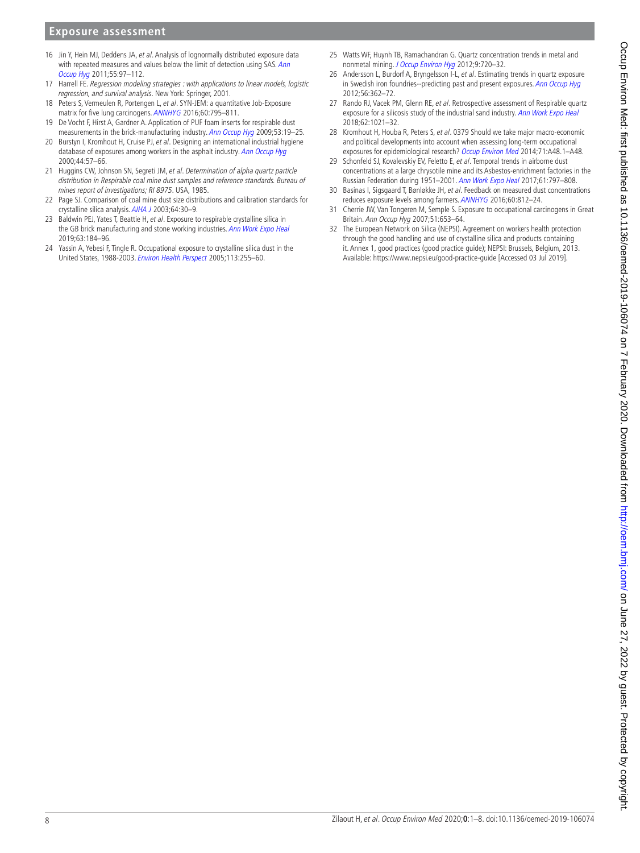- <span id="page-7-0"></span>16 Jin Y, Hein MJ, Deddens JA, et al. Analysis of lognormally distributed exposure data with repeated measures and values below the limit of detection using SAS. Ann [Occup Hyg](http://dx.doi.org/10.1093/annhyg/meq061) 2011;55:97–112.
- <span id="page-7-1"></span>17 Harrell FE. Regression modeling strategies : with applications to linear models, logistic regression, and survival analysis. New York: Springer, 2001.
- <span id="page-7-2"></span>18 Peters S, Vermeulen R, Portengen L, et al. SYN-JEM: a quantitative Job-Exposure matrix for five lung carcinogens. [ANNHYG](http://dx.doi.org/10.1093/annhyg/mew034) 2016;60:795–811.
- <span id="page-7-3"></span>19 De Vocht F, Hirst A, Gardner A. Application of PUF foam inserts for respirable dust measurements in the brick-manufacturing industry. [Ann Occup Hyg](http://dx.doi.org/10.1093/annhyg/men068) 2009;53:19-25.
- 20 Burstyn I, Kromhout H, Cruise PJ, et al. Designing an international industrial hygiene database of exposures among workers in the asphalt industry. [Ann Occup Hyg](http://dx.doi.org/10.1016/S0003-4878(99)00102-7) 2000;44:57–66.
- <span id="page-7-4"></span>21 Huggins CW, Johnson SN, Segreti JM, et al. Determination of alpha quartz particle distribution in Respirable coal mine dust samples and reference standards. Bureau of mines report of investigations; RI 8975. USA, 1985.
- <span id="page-7-5"></span>22 Page SJ. Comparison of coal mine dust size distributions and calibration standards for crystalline silica analysis. [AIHA J](http://dx.doi.org/10.1080/15428110308984781) 2003;64:30–9.
- <span id="page-7-6"></span>23 Baldwin PEJ, Yates T, Beattie H, et al. Exposure to respirable crystalline silica in the GB brick manufacturing and stone working industries. [Ann Work Expo Heal](http://dx.doi.org/10.1093/annweh/wxy103) 2019;63:184–96.
- <span id="page-7-7"></span>24 Yassin A, Yebesi F, Tingle R. Occupational exposure to crystalline silica dust in the United States, 1988-2003. [Environ Health Perspect](http://dx.doi.org/10.1289/ehp.7384) 2005;113:255–60.
- <span id="page-7-8"></span>25 Watts WF, Huynh TB, Ramachandran G. Quartz concentration trends in metal and nonmetal mining. [J Occup Environ Hyg](http://dx.doi.org/10.1080/15459624.2012.733566) 2012;9:720-32.
- <span id="page-7-9"></span>26 Andersson L, Burdorf A, Bryngelsson I-L, et al. Estimating trends in quartz exposure in Swedish iron foundries--predicting past and present exposures. [Ann Occup Hyg](http://dx.doi.org/10.1093/annhyg/mer106) 2012;56:362–72.
- <span id="page-7-10"></span>27 Rando RJ, Vacek PM, Glenn RE, et al. Retrospective assessment of Respirable quartz exposure for a silicosis study of the industrial sand industry. [Ann Work Expo Heal](http://dx.doi.org/10.1093/annweh/wxy064) 2018;62:1021–32.
- <span id="page-7-11"></span>28 Kromhout H, Houba R, Peters S, et al. 0379 Should we take major macro-economic and political developments into account when assessing long-term occupational exposures for epidemiological research? [Occup Environ Med](http://dx.doi.org/10.1136/oemed-2014-102362.148) 2014;71:A48.1-A48.
- <span id="page-7-12"></span>29 Schonfeld SJ, Kovalevskiy EV, Feletto E, et al. Temporal trends in airborne dust concentrations at a large chrysotile mine and its Asbestos-enrichment factories in the Russian Federation during 1951–2001. [Ann Work Expo Heal](http://dx.doi.org/10.1093/annweh/wxx051) 2017;61:797–808.
- <span id="page-7-13"></span>30 Basinas I, Sigsgaard T, Bønløkke JH, et al. Feedback on measured dust concentrations reduces exposure levels among farmers. [ANNHYG](http://dx.doi.org/10.1093/annhyg/mew032) 2016;60:812–24.
- <span id="page-7-14"></span>31 Cherrie JW, Van Tongeren M, Semple S. Exposure to occupational carcinogens in Great Britain. Ann Occup Hyg 2007;51:653–64.
- <span id="page-7-15"></span>32 The European Network on Silica (NEPSI). Agreement on workers health protection through the good handling and use of crystalline silica and products containing it. Annex 1, good practices (good practice guide); NEPSI: Brussels, Belgium, 2013. Available:<https://www.nepsi.eu/good-practice-guide> [Accessed 03 Jul 2019].